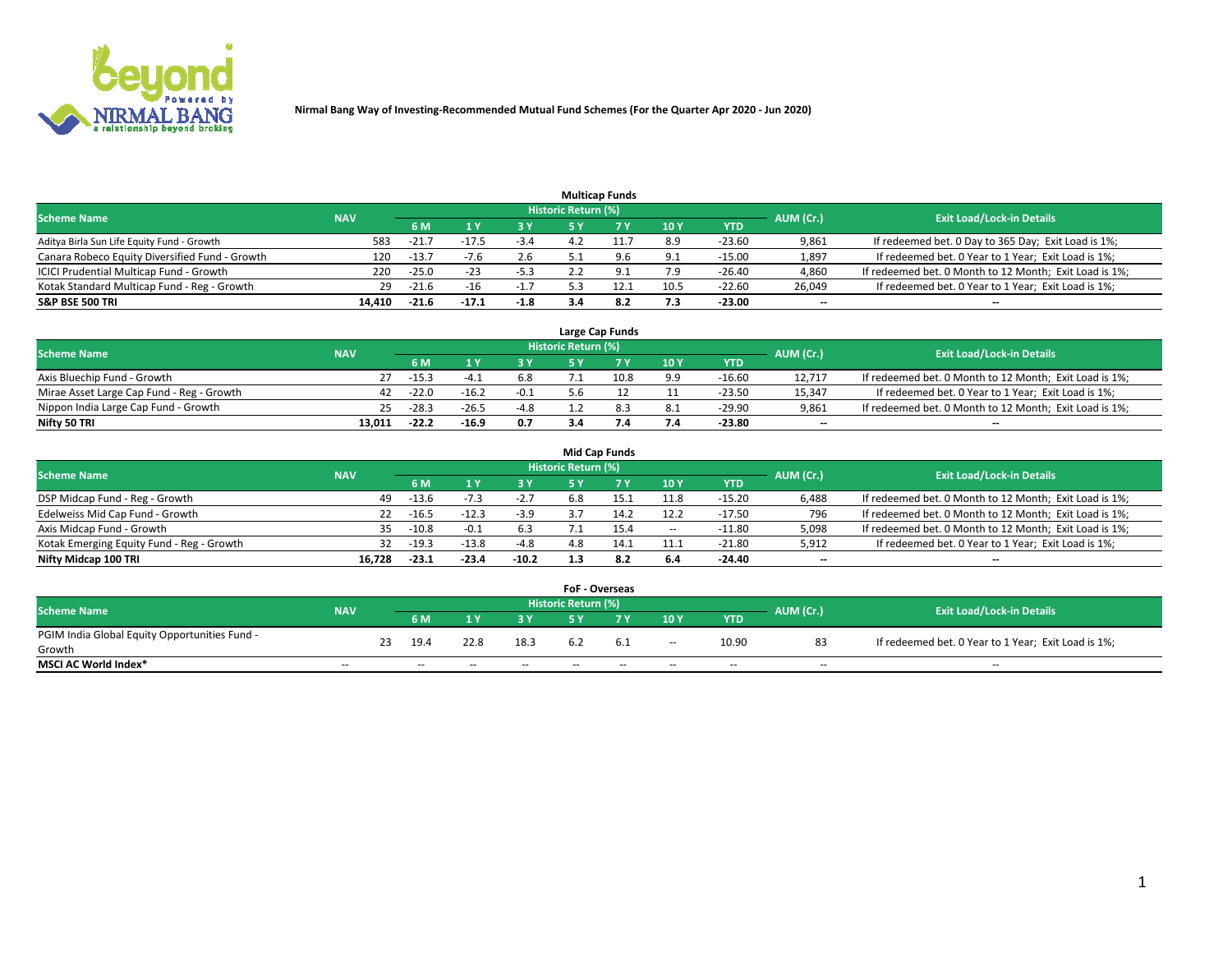

|                                                |            |         |         |        |                     | <b>Multicap Funds</b> |                 |          |                          |                                                        |
|------------------------------------------------|------------|---------|---------|--------|---------------------|-----------------------|-----------------|----------|--------------------------|--------------------------------------------------------|
| <b>Scheme Name</b>                             | <b>NAV</b> |         |         |        | Historic Return (%) |                       |                 |          | AUM (Cr.)                | <b>Exit Load/Lock-in Details</b>                       |
|                                                |            | 6 M     |         |        |                     |                       | 10 <sub>1</sub> | YTD      |                          |                                                        |
| Aditya Birla Sun Life Equity Fund - Growth     | 583        | $-21.$  |         | $-3.4$ |                     |                       | 8.9             | $-23.60$ | 9,861                    | If redeemed bet. 0 Day to 365 Day; Exit Load is 1%;    |
| Canara Robeco Equity Diversified Fund - Growth | 120        | $-13.7$ |         | 2.6    |                     | 9.6                   | 9.1             | $-15.00$ | 1,897                    | If redeemed bet. 0 Year to 1 Year; Exit Load is 1%;    |
| ICICI Prudential Multicap Fund - Growth        | 220        | $-25.0$ | $-23$   | -5.3   |                     |                       | 7.9             | $-26.40$ | 4,860                    | If redeemed bet. 0 Month to 12 Month; Exit Load is 1%; |
| Kotak Standard Multicap Fund - Reg - Growth    | 29         | $-21.6$ | -16     | $-1.7$ |                     | 12.1                  | 10.5            | $-22.60$ | 26,049                   | If redeemed bet. 0 Year to 1 Year; Exit Load is 1%;    |
| <b>S&amp;P BSE 500 TRI</b>                     | 14.410     | $-21.6$ | $-17.1$ | $-1.8$ |                     | 8.2                   | 7.3             | $-23.00$ | $\overline{\phantom{a}}$ | $\overline{\phantom{a}}$                               |

|                                           |            |         |         |        |                     | Large Cap Funds |     |            |                          |                                                        |
|-------------------------------------------|------------|---------|---------|--------|---------------------|-----------------|-----|------------|--------------------------|--------------------------------------------------------|
| <b>Scheme Name</b>                        | <b>NAV</b> |         |         |        | Historic Return (%) |                 |     |            | AUM (Cr.)                | <b>Exit Load/Lock-in Details</b>                       |
|                                           |            | 6 M     |         | 3 Y    |                     |                 | 10Y | <b>YTD</b> |                          |                                                        |
| Axis Bluechip Fund - Growth               |            | $-15.3$ | -4      | 6.8    |                     | 10.8            | 9.9 | -16.60     | 12.717                   | If redeemed bet. 0 Month to 12 Month; Exit Load is 1%; |
| Mirae Asset Large Cap Fund - Reg - Growth | 42         | $-22.0$ | $-16.$  | $-0.1$ | 5.6                 |                 |     | $-23.50$   | 15.347                   | If redeemed bet. 0 Year to 1 Year; Exit Load is 1%;    |
| Nippon India Large Cap Fund - Growth      | 25         | $-28.3$ | $-26.5$ | $-4.8$ |                     |                 | 8.1 | $-29.90$   | 9,861                    | If redeemed bet. 0 Month to 12 Month; Exit Load is 1%; |
| Nifty 50 TRI                              | 13.011     | $-22.2$ | $-16.9$ | 0.7    | 3.4                 |                 | 7.4 | -23.80     | $\overline{\phantom{a}}$ | $\overline{\phantom{a}}$                               |

|                                           |            |         |         |         |                     | <b>Mid Cap Funds</b> |        |            |                          |                                                        |
|-------------------------------------------|------------|---------|---------|---------|---------------------|----------------------|--------|------------|--------------------------|--------------------------------------------------------|
| <b>Scheme Name</b>                        | <b>NAV</b> |         |         |         | Historic Return (%) |                      |        |            | AUM (Cr.)                | <b>Exit Load/Lock-in Details</b>                       |
|                                           |            | 6 M     |         | 3Y      |                     |                      | 10Y    | <b>YTD</b> |                          |                                                        |
| DSP Midcap Fund - Reg - Growth            | 49         | $-13.6$ | $-1.5$  | $-2.7$  | 6.8                 |                      | 11.8   | $-15.20$   | 6,488                    | If redeemed bet. 0 Month to 12 Month; Exit Load is 1%; |
| Edelweiss Mid Cap Fund - Growth           | 22         | $-16.5$ | $-12.3$ | $-3.9$  |                     |                      | 12.2   | $-17.50$   | 796                      | If redeemed bet. 0 Month to 12 Month; Exit Load is 1%; |
| Axis Midcap Fund - Growth                 | 35.        | $-10.8$ |         | 6.3     |                     | 15.4                 | $\sim$ | $-11.80$   | 5,098                    | If redeemed bet. 0 Month to 12 Month; Exit Load is 1%; |
| Kotak Emerging Equity Fund - Reg - Growth | 32         | $-19.3$ | $-13.8$ | $-4.8$  | 4.8                 |                      | 11.1   | $-21.80$   | 5,912                    | If redeemed bet. 0 Year to 1 Year; Exit Load is 1%;    |
| Nifty Midcap 100 TRI                      | 16.728     | $-23.1$ | $-23.4$ | $-10.2$ |                     | 8.2                  | 6.4    | $-24.40$   | $\overline{\phantom{a}}$ | $\overline{\phantom{m}}$                               |

|                                               |            |    |      |      |        | <b>FoF - Overseas</b> |     |                          |            |           |                                                     |
|-----------------------------------------------|------------|----|------|------|--------|-----------------------|-----|--------------------------|------------|-----------|-----------------------------------------------------|
| <b>Scheme Name</b>                            | <b>NAV</b> |    |      |      |        | Historic Return (%)   |     |                          |            | AUM (Cr.) | <b>Exit Load/Lock-in Details</b>                    |
|                                               |            |    | 6 M  |      |        |                       |     | 10Y                      | <b>YTD</b> |           |                                                     |
| PGIM India Global Equity Opportunities Fund - |            | 23 | 19.4 | 22.8 | 18.3   |                       | 6.1 |                          | 10.90      | 83        | If redeemed bet. 0 Year to 1 Year; Exit Load is 1%; |
| Growth                                        |            |    |      |      |        |                       |     | $\overline{\phantom{a}}$ |            |           |                                                     |
| <b>MSCI AC World Index*</b>                   | $- -$      |    | $-$  | --   | $\sim$ | $- -$                 | --  | $-$                      | $-$        | $-$       | $-$                                                 |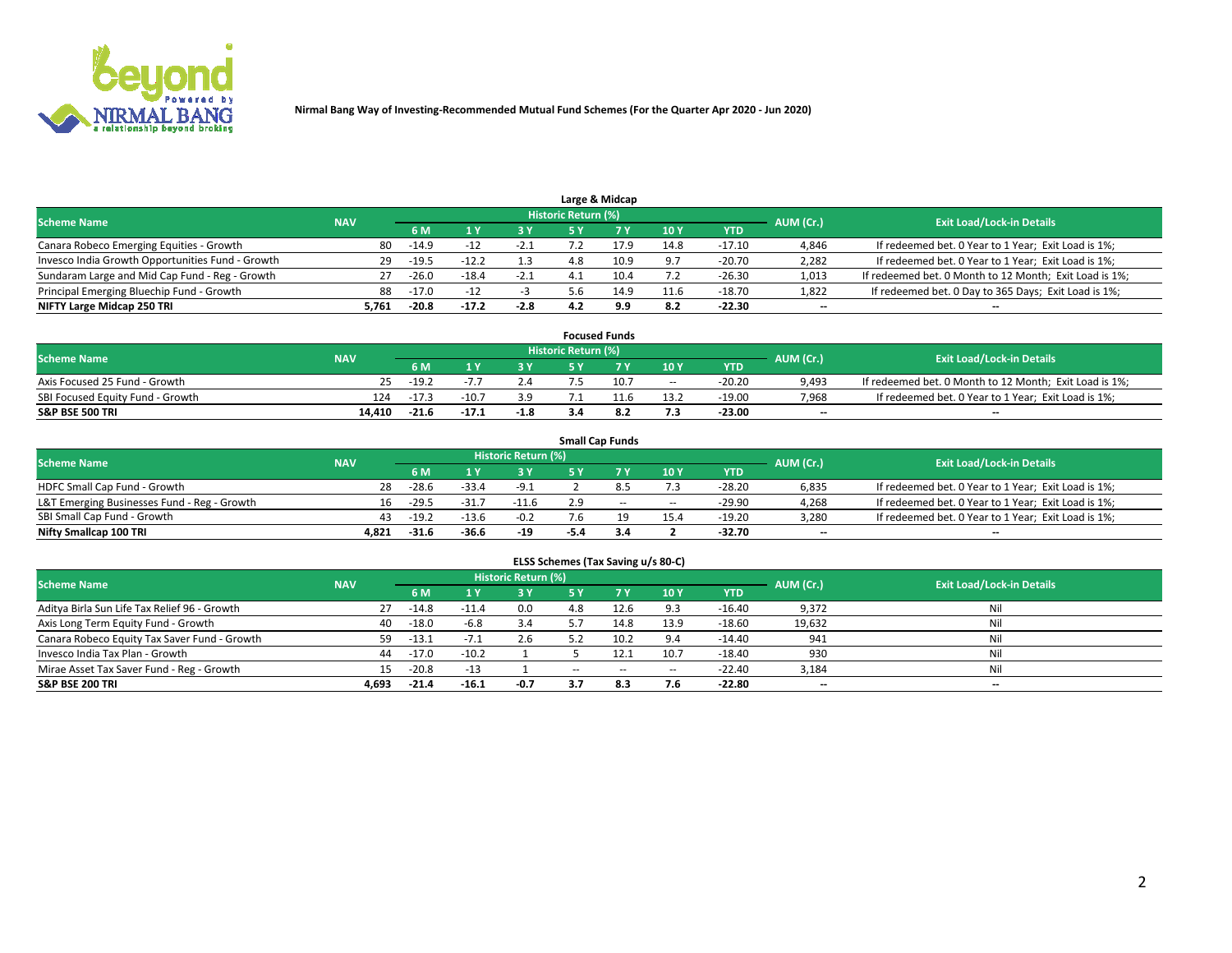

|                                                  |            |               |         |        |                     | Large & Midcap |      |            |           |                                                        |
|--------------------------------------------------|------------|---------------|---------|--------|---------------------|----------------|------|------------|-----------|--------------------------------------------------------|
| <b>Scheme Name</b>                               | <b>NAV</b> |               |         |        | Historic Return (%) |                |      |            | AUM (Cr.) | <b>Exit Load/Lock-in Details</b>                       |
|                                                  |            | 6 M           |         | 3 V    |                     |                | 10Y  | <b>YTD</b> |           |                                                        |
| Canara Robeco Emerging Equities - Growth         |            | 80<br>$-14.9$ |         | $-2.1$ |                     | 17.9           | 14.8 | $-17.10$   | 4,846     | If redeemed bet. 0 Year to 1 Year; Exit Load is 1%;    |
| Invesco India Growth Opportunities Fund - Growth |            | 29<br>$-19.5$ | $-12.2$ | 1.3    | 4.8                 | 10.9           | 9.7  | $-20.70$   | 2,282     | If redeemed bet. 0 Year to 1 Year; Exit Load is 1%;    |
| Sundaram Large and Mid Cap Fund - Reg - Growth   |            | $-26.0$       | $-18.4$ | $-2.1$ |                     | 10.4           | 7.2  | $-26.30$   | 1,013     | If redeemed bet. 0 Month to 12 Month; Exit Load is 1%; |
| Principal Emerging Bluechip Fund - Growth        |            | 88<br>-17.0   | $-12$   |        | , b                 | 14.9           | 11.6 | $-18.70$   | 1,822     | If redeemed bet. 0 Day to 365 Days; Exit Load is 1%;   |
| NIFTY Large Midcap 250 TRI                       | 5.761      | $-20.8$       | $-17.2$ | $-2.8$ |                     | 9.9            | 8.2  | $-22.30$   | $- -$     | $\sim$                                                 |

|                                  |            |         |         |        |                     | <b>Focused Funds</b> |                          |          |                          |                                                        |
|----------------------------------|------------|---------|---------|--------|---------------------|----------------------|--------------------------|----------|--------------------------|--------------------------------------------------------|
| <b>Scheme Name</b>               | <b>NAV</b> |         |         |        | Historic Return (%) |                      |                          |          | AUM (Cr.)                | <b>Exit Load/Lock-in Details</b>                       |
|                                  |            | 6 M     |         |        |                     |                      | 10Y                      | YTD      |                          |                                                        |
| Axis Focused 25 Fund - Growth    |            | $-19.2$ |         |        |                     | 10.7                 | $\overline{\phantom{a}}$ | $-20.20$ | 9.493                    | If redeemed bet. 0 Month to 12 Month; Exit Load is 1%; |
| SBI Focused Equity Fund - Growth | 124        | $-17.3$ | $-10.7$ | 3.9    |                     |                      | 13.2                     | $-19.00$ | 7,968                    | If redeemed bet. 0 Year to 1 Year; Exit Load is 1%;    |
| <b>S&amp;P BSE 500 TRI</b>       | 14.410     | $-21.6$ | $-17.1$ | $-1.8$ |                     |                      | 7.3                      | $-23.00$ | $\overline{\phantom{a}}$ | $\overline{\phantom{a}}$                               |

|                                             |            |                                  |         |         |     | <b>Small Cap Funds</b> |       |            |       |                                                     |
|---------------------------------------------|------------|----------------------------------|---------|---------|-----|------------------------|-------|------------|-------|-----------------------------------------------------|
| <b>Scheme Name</b>                          | AUM (Cr.)  | <b>Exit Load/Lock-in Details</b> |         |         |     |                        |       |            |       |                                                     |
|                                             | <b>NAV</b> | 6 M                              |         | 3 Y     |     |                        | 10Y   | <b>YTD</b> |       |                                                     |
| HDFC Small Cap Fund - Growth                | 28         | $-28.6$                          | $-33.4$ | $-9.1$  |     |                        | 7.3   | $-28.20$   | 6,835 | If redeemed bet. 0 Year to 1 Year; Exit Load is 1%; |
| L&T Emerging Businesses Fund - Reg - Growth | 16.        | $-29.5$                          | $-31.7$ | $-11.6$ | 2.9 | $\sim$                 | $- -$ | $-29.90$   | 4,268 | If redeemed bet. 0 Year to 1 Year; Exit Load is 1%; |
| SBI Small Cap Fund - Growth                 | 43         | $-19.2$                          | $-13.6$ | $-0.2$  | 7.6 |                        | 15.4  | $-19.20$   | 3,280 | If redeemed bet. 0 Year to 1 Year; Exit Load is 1%; |
| Nifty Smallcap 100 TRI                      | 4.821      | $-31.6$                          | $-36.6$ | -19     |     |                        |       | $-32.70$   | $- -$ | $\overline{\phantom{a}}$                            |

| ELSS Schemes (Tax Saving u/s 80-C)           |            |         |         |                            |       |      |        |            |           |                                  |  |  |  |
|----------------------------------------------|------------|---------|---------|----------------------------|-------|------|--------|------------|-----------|----------------------------------|--|--|--|
| <b>Scheme Name</b>                           | <b>NAV</b> |         |         | <b>Historic Return (%)</b> |       |      |        |            | AUM (Cr.) | <b>Exit Load/Lock-in Details</b> |  |  |  |
|                                              |            | 6 M     | 1 Y     | -3 Y                       | 5 Y   |      | 10Y    | <b>YTD</b> |           |                                  |  |  |  |
| Aditya Birla Sun Life Tax Relief 96 - Growth | 27         | $-14.8$ | $-11.4$ | 0.0                        | 4.8   | 12.6 | 9.3    | $-16.40$   | 9,372     | Nil                              |  |  |  |
| Axis Long Term Equity Fund - Growth          | 40         | $-18.0$ | $-6.8$  | 3.4                        | 5.7   | 14.8 | 13.9   | $-18.60$   | 19,632    | Nil                              |  |  |  |
| Canara Robeco Equity Tax Saver Fund - Growth | 59         | $-13.1$ | $-7.1$  | 2.6                        | 5.2   | 10.2 | 9.4    | $-14.40$   | 941       | Nil                              |  |  |  |
| Invesco India Tax Plan - Growth              | 44         | $-17.0$ | $-10.2$ |                            |       | 12.1 | 10.7   | $-18.40$   | 930       | Nil                              |  |  |  |
| Mirae Asset Tax Saver Fund - Reg - Growth    | 15         | $-20.8$ | $-13$   |                            | $- -$ | --   | $\sim$ | $-22.40$   | 3,184     | Nil                              |  |  |  |
| S&P BSE 200 TRI                              | 4,693      | $-21.4$ | $-16.1$ | -0.7                       | 3.7   | 8.3  | 7.6    | $-22.80$   | $- -$     | $\overline{\phantom{a}}$         |  |  |  |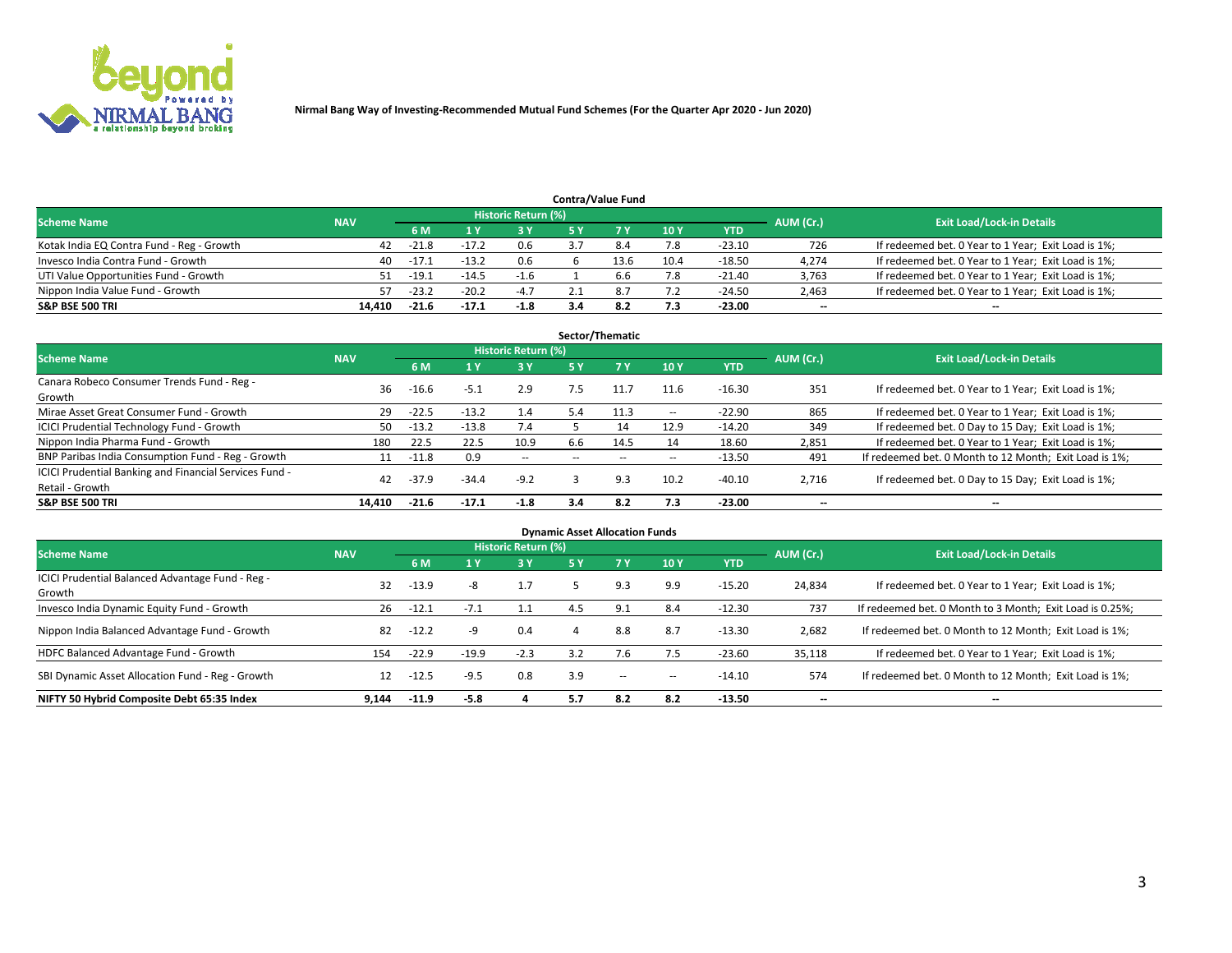

|                                           |            |         |         |                     | <b>Contra/Value Fund</b> |      |            |           |                                                     |
|-------------------------------------------|------------|---------|---------|---------------------|--------------------------|------|------------|-----------|-----------------------------------------------------|
| <b>Scheme Name</b>                        | <b>NAV</b> |         |         | Historic Return (%) |                          |      |            | AUM (Cr.) | <b>Exit Load/Lock-in Details</b>                    |
|                                           |            | 6 M     |         | 2 V                 |                          | 10Y  | <b>YTD</b> |           |                                                     |
| Kotak India EQ Contra Fund - Reg - Growth | 42         | $-21.8$ | -17.2   | 0.6                 |                          | 7.8  | $-23.10$   | 726       | If redeemed bet. 0 Year to 1 Year; Exit Load is 1%; |
| Invesco India Contra Fund - Growth        | 40         | $-17.1$ | $-13.2$ | 0.6                 | 13.6                     | 10.4 | $-18.50$   | 4,274     | If redeemed bet. 0 Year to 1 Year; Exit Load is 1%; |
| UTI Value Opportunities Fund - Growth     | 51         | $-19.1$ | $-14.5$ | $-1.6$              | 6.6                      | 7.8  | $-21.40$   | 3,763     | If redeemed bet. 0 Year to 1 Year; Exit Load is 1%; |
| Nippon India Value Fund - Growth          | 57         | $-23.2$ | $-20.2$ | $-4.7$              |                          | 7.2  | $-24.50$   | 2,463     | If redeemed bet. 0 Year to 1 Year; Exit Load is 1%; |
| <b>S&amp;P BSE 500 TRI</b>                | 14.410     | $-21.6$ | $-17.1$ | -1.8                |                          | 7.3  | $-23.00$   | $- -$     | $\sim$                                              |

|                                                                           |            |         |         |                            |     | Sector/Thematic |        |          |                          |                                                        |
|---------------------------------------------------------------------------|------------|---------|---------|----------------------------|-----|-----------------|--------|----------|--------------------------|--------------------------------------------------------|
| <b>Scheme Name</b>                                                        | <b>NAV</b> |         |         | <b>Historic Return (%)</b> |     |                 |        |          | AUM (Cr.)                | <b>Exit Load/Lock-in Details</b>                       |
|                                                                           |            | 6 M     |         | 3 Y                        | 5 Y |                 | 10Y    | YTD      |                          |                                                        |
| Canara Robeco Consumer Trends Fund - Reg -<br>Growth                      | 36         | $-16.6$ | $-5.1$  | 2.9                        | 7.5 |                 | 11.6   | $-16.30$ | 351                      | If redeemed bet. 0 Year to 1 Year; Exit Load is 1%;    |
| Mirae Asset Great Consumer Fund - Growth                                  | 29         | $-22.5$ | $-13.2$ | 1.4                        | 5.4 | 11.3            | $\sim$ | $-22.90$ | 865                      | If redeemed bet. 0 Year to 1 Year; Exit Load is 1%;    |
| <b>ICICI Prudential Technology Fund - Growth</b>                          | 50         | $-13.2$ | $-13.8$ | 7.4                        |     | 14              | 12.9   | $-14.20$ | 349                      | If redeemed bet. 0 Day to 15 Day; Exit Load is 1%;     |
| Nippon India Pharma Fund - Growth                                         | 180        | 22.5    | 22.5    | 10.9                       | 6.6 | 14.5            | 14     | 18.60    | 2,851                    | If redeemed bet. 0 Year to 1 Year; Exit Load is 1%;    |
| BNP Paribas India Consumption Fund - Reg - Growth                         |            | $-11.8$ | 0.9     | $\sim$                     |     |                 | $\sim$ | $-13.50$ | 491                      | If redeemed bet. 0 Month to 12 Month; Exit Load is 1%; |
| ICICI Prudential Banking and Financial Services Fund -<br>Retail - Growth | 42         | $-37.9$ | $-34.4$ | $-9.2$                     |     | 9.3             | 10.2   | $-40.10$ | 2,716                    | If redeemed bet. 0 Day to 15 Day; Exit Load is 1%;     |
| <b>S&amp;P BSE 500 TRI</b>                                                | 14.410     | $-21.6$ | $-17.1$ | $-1.8$                     | 3.4 | 8.2             | 7.3    | -23.00   | $\overline{\phantom{a}}$ | $\overline{\phantom{a}}$                               |

|                                                            |            |         |         |                            | <b>Dynamic Asset Allocation Funds</b> |           |        |            |           |                                                          |
|------------------------------------------------------------|------------|---------|---------|----------------------------|---------------------------------------|-----------|--------|------------|-----------|----------------------------------------------------------|
| <b>Scheme Name</b>                                         | <b>NAV</b> |         |         | <b>Historic Return (%)</b> |                                       |           |        |            | AUM (Cr.) | <b>Exit Load/Lock-in Details</b>                         |
|                                                            |            | 6 M     |         | 3Y                         | 5 Y                                   | <b>7Y</b> | 10Y    | <b>YTD</b> |           |                                                          |
| ICICI Prudential Balanced Advantage Fund - Reg -<br>Growth | 32         | $-13.9$ | -8      | 1.7                        |                                       | 9.3       | 9.9    | $-15.20$   | 24,834    | If redeemed bet. 0 Year to 1 Year; Exit Load is 1%;      |
| Invesco India Dynamic Equity Fund - Growth                 | 26         | $-12.1$ |         |                            | 4.5                                   | 9.1       | 8.4    | $-12.30$   | 737       | If redeemed bet. 0 Month to 3 Month; Exit Load is 0.25%; |
| Nippon India Balanced Advantage Fund - Growth              | 82         | $-12.2$ | -9      | 0.4                        | 4                                     | 8.8       | 8.7    | $-13.30$   | 2,682     | If redeemed bet. 0 Month to 12 Month; Exit Load is 1%;   |
| HDFC Balanced Advantage Fund - Growth                      | 154        | $-22.9$ | $-19.9$ | $-2.3$                     | 3.2                                   |           | 7.5    | $-23.60$   | 35,118    | If redeemed bet. 0 Year to 1 Year; Exit Load is 1%;      |
| SBI Dynamic Asset Allocation Fund - Reg - Growth           | 12         | $-12.5$ | $-9.5$  | 0.8                        | 3.9                                   | $\sim$    | $\sim$ | $-14.10$   | 574       | If redeemed bet. 0 Month to 12 Month; Exit Load is 1%;   |
| NIFTY 50 Hybrid Composite Debt 65:35 Index                 | 9.144      | $-11.9$ | $-5.8$  |                            | 5.7                                   | 8.2       | 8.2    | $-13.50$   |           | $\overline{\phantom{a}}$                                 |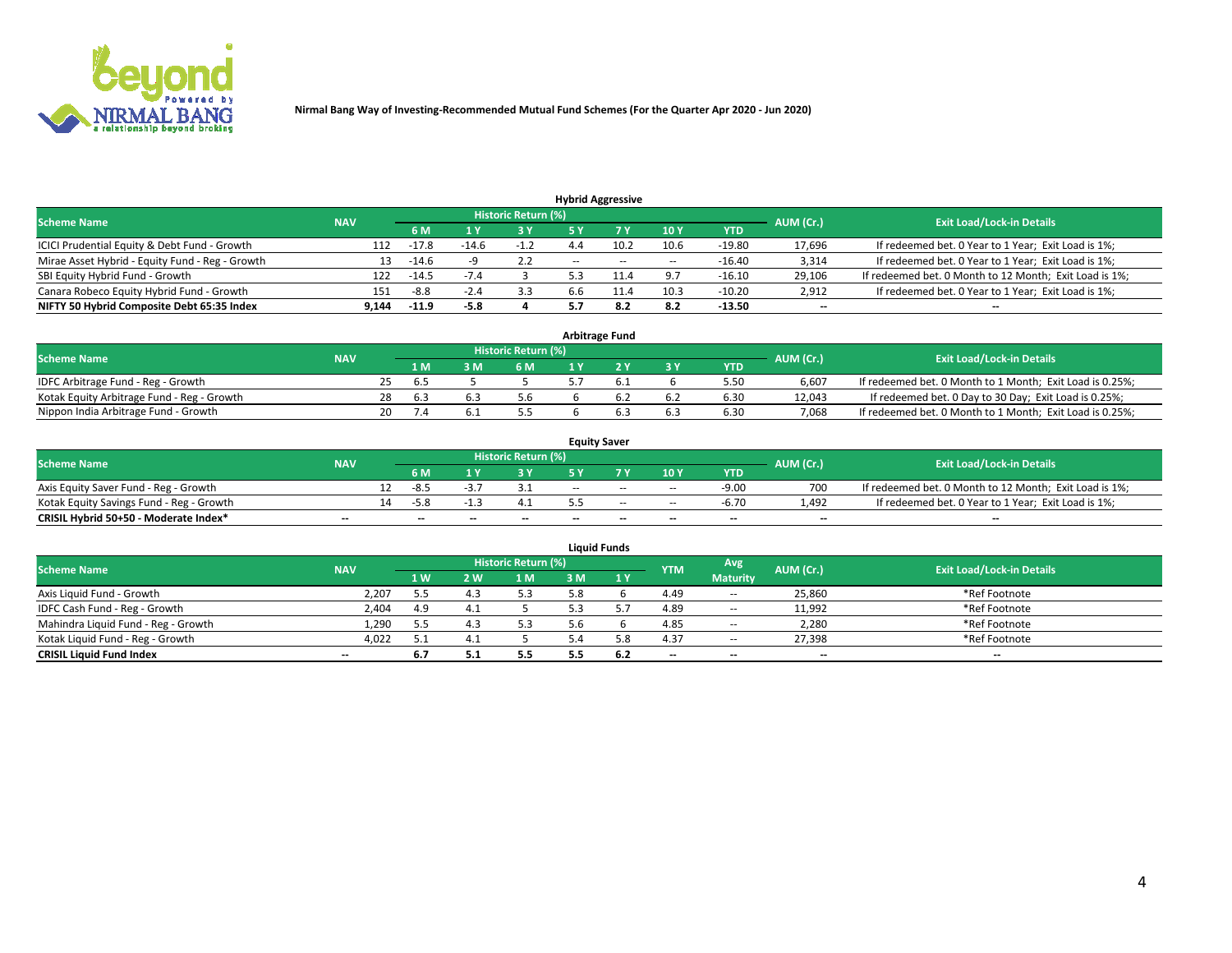

| <b>Hybrid Aggressive</b>                        |            |         |        |                            |       |        |        |          |           |                                                        |  |  |  |
|-------------------------------------------------|------------|---------|--------|----------------------------|-------|--------|--------|----------|-----------|--------------------------------------------------------|--|--|--|
| <b>Scheme Name</b>                              | <b>NAV</b> |         |        | <b>Historic Return (%)</b> |       |        |        |          | AUM (Cr.) | <b>Exit Load/Lock-in Details</b>                       |  |  |  |
|                                                 |            | 6 M     |        | 3 Y                        |       |        | 10Y    | YTD      |           |                                                        |  |  |  |
| ICICI Prudential Equity & Debt Fund - Growth    | 112        | $-17.8$ | -14.6  |                            |       | 10.2   | 10.6   | $-19.80$ | 17,696    | If redeemed bet. 0 Year to 1 Year; Exit Load is 1%;    |  |  |  |
| Mirae Asset Hybrid - Equity Fund - Reg - Growth | 13         | -14.6   |        | 2.2                        | $- -$ | $\sim$ | $\sim$ | $-16.40$ | 3,314     | If redeemed bet. 0 Year to 1 Year; Exit Load is 1%;    |  |  |  |
| SBI Equity Hybrid Fund - Growth                 | 122        | $-14.5$ | $-1.4$ |                            |       |        | 9.7    | $-16.10$ | 29,106    | If redeemed bet. 0 Month to 12 Month; Exit Load is 1%; |  |  |  |
| Canara Robeco Equity Hybrid Fund - Growth       | 151        | -8.8    | $-2.4$ | 3.3                        | 6.6   |        | 10.3   | $-10.20$ | 2,912     | If redeemed bet. 0 Year to 1 Year; Exit Load is 1%;    |  |  |  |
| NIFTY 50 Hybrid Composite Debt 65:35 Index      | 9,144      | $-11.9$ | -5.8   |                            |       | 8.2    | 8.2    | $-13.50$ | $- -$     | $\overline{\phantom{a}}$                               |  |  |  |

| <b>Arbitrage Fund</b>                      |            |     |        |     |                            |  |  |             |            |           |                                                          |  |  |
|--------------------------------------------|------------|-----|--------|-----|----------------------------|--|--|-------------|------------|-----------|----------------------------------------------------------|--|--|
| <b>Scheme Name</b>                         | <b>NAV</b> |     |        |     | <b>Historic Return (%)</b> |  |  |             |            | AUM (Cr.) | <b>Exit Load/Lock-in Details</b>                         |  |  |
|                                            |            |     | 1 M    | : M | 6 M                        |  |  | <b>23 V</b> | <b>YTD</b> |           |                                                          |  |  |
| IDFC Arbitrage Fund - Reg - Growth         |            | 25. | . ხ. ა |     |                            |  |  |             | 5.50       | 6.607     | If redeemed bet. 0 Month to 1 Month; Exit Load is 0.25%; |  |  |
| Kotak Equity Arbitrage Fund - Reg - Growth |            | 28  | 6.3    |     | 5.6                        |  |  |             | 6.30       | 12.043    | If redeemed bet. 0 Day to 30 Day; Exit Load is 0.25%;    |  |  |
| Nippon India Arbitrage Fund - Growth       |            | 20. |        |     |                            |  |  | 6.3         | 6.30       | 7.068     | If redeemed bet. 0 Month to 1 Month; Exit Load is 0.25%; |  |  |

| <b>Equity Saver</b>                      |            |    |        |    |                     |       |        |        |            |                          |                                                        |  |  |  |
|------------------------------------------|------------|----|--------|----|---------------------|-------|--------|--------|------------|--------------------------|--------------------------------------------------------|--|--|--|
| <b>Scheme Name</b>                       | <b>NAV</b> |    |        |    | Historic Return (%) |       |        |        |            | AUM (Cr.)                | <b>Exit Load/Lock-in Details</b>                       |  |  |  |
|                                          |            |    | 6 M    |    | o v                 |       |        | 10Y    | <b>YTD</b> |                          |                                                        |  |  |  |
| Axis Equity Saver Fund - Reg - Growth    |            |    | -8.5   |    |                     | $- -$ | $-$    | $\sim$ | $-9.00$    | 700                      | If redeemed bet. 0 Month to 12 Month; Exit Load is 1%; |  |  |  |
| Kotak Equity Savings Fund - Reg - Growth |            | 14 | $-5.8$ |    |                     |       | $\sim$ | $\sim$ | $-6.70$    | 1.492                    | If redeemed bet. 0 Year to 1 Year; Exit Load is 1%;    |  |  |  |
| CRISIL Hybrid 50+50 - Moderate Index*    | $- -$      |    | --     | -- | $-$                 | $- -$ | $\sim$ | $-$    | $-$        | $\overline{\phantom{a}}$ | $-$                                                    |  |  |  |

| <b>Liquid Funds</b>                 |                          |     |     |                            |    |     |            |                 |           |                                  |  |  |  |
|-------------------------------------|--------------------------|-----|-----|----------------------------|----|-----|------------|-----------------|-----------|----------------------------------|--|--|--|
| <b>Scheme Name</b>                  | <b>NAV</b>               |     |     | <b>Historic Return (%)</b> |    |     | <b>YTM</b> | Avg             | AUM (Cr.) | <b>Exit Load/Lock-in Details</b> |  |  |  |
|                                     |                          | 1W  | 2 W | 1 M                        | sм | 1 V |            | <b>Maturity</b> |           |                                  |  |  |  |
| Axis Liquid Fund - Growth           | 2,207                    | 5.5 | 4.3 | 5.3                        | 58 |     | 4.49       | $\sim$          | 25,860    | *Ref Footnote                    |  |  |  |
| IDFC Cash Fund - Reg - Growth       | 2,404                    | 4.9 |     |                            |    |     | 4.89       | $\sim$          | 11,992    | *Ref Footnote                    |  |  |  |
| Mahindra Liquid Fund - Reg - Growth | 1,290                    |     |     | 5.3                        |    |     | 4.85       | $\sim$          | 2,280     | *Ref Footnote                    |  |  |  |
| Kotak Liquid Fund - Reg - Growth    | 4,022                    | ς.  |     |                            |    | 5.8 | 4.37       | $\sim$ $-$      | 27,398    | *Ref Footnote                    |  |  |  |
| <b>CRISIL Liquid Fund Index</b>     | $\overline{\phantom{a}}$ | 6.7 | J.L | 5.5                        |    | 6.2 | $-$        | $- -$           | $- -$     | $- -$                            |  |  |  |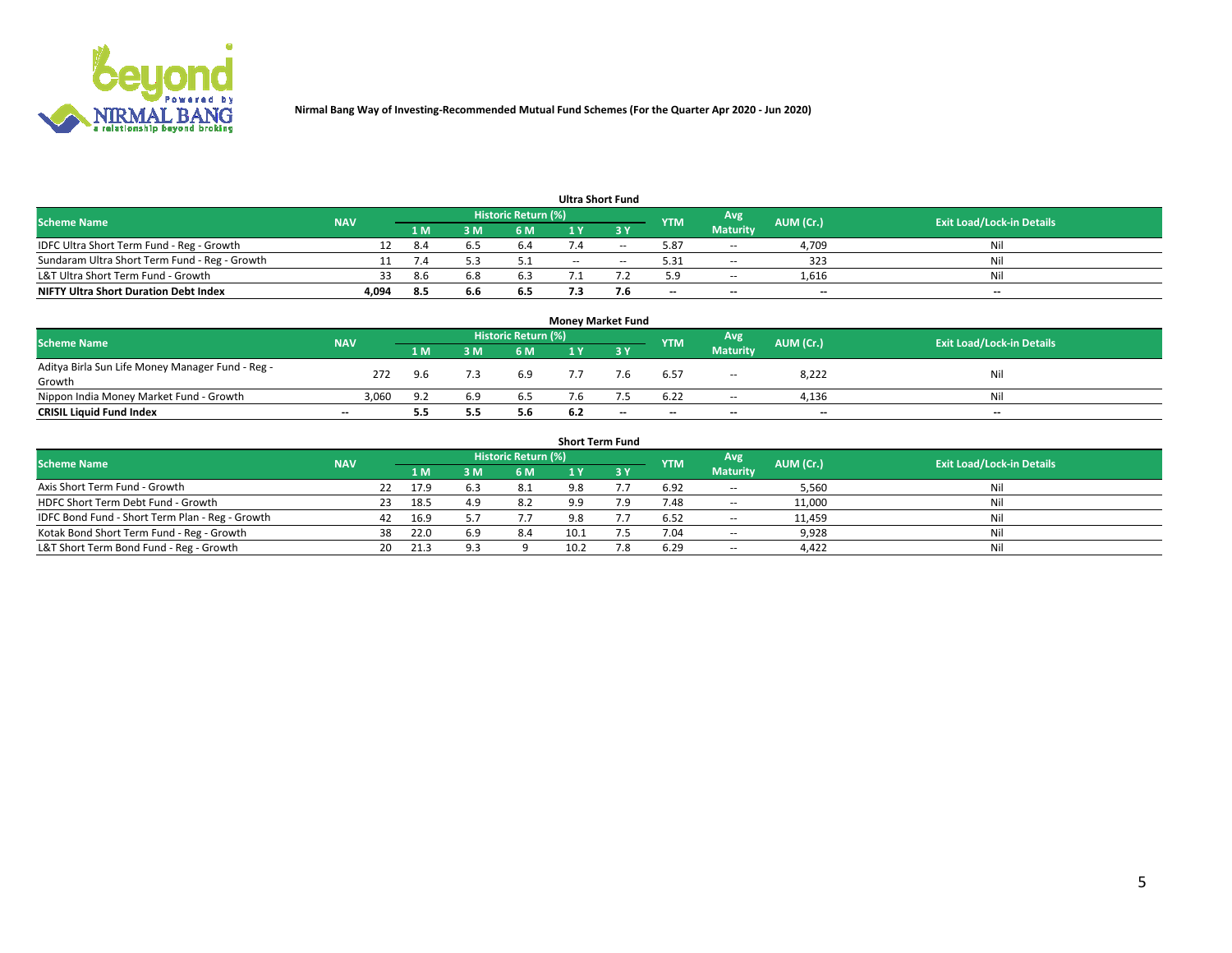

| <b>Ultra Short Fund</b>                       |            |     |     |                     |        |     |            |                 |           |                                  |  |  |  |  |
|-----------------------------------------------|------------|-----|-----|---------------------|--------|-----|------------|-----------------|-----------|----------------------------------|--|--|--|--|
| <b>Scheme Name</b>                            | <b>NAV</b> |     |     | Historic Return (%) |        |     | <b>YTM</b> | Avg             | AUM (Cr.) | <b>Exit Load/Lock-in Details</b> |  |  |  |  |
|                                               |            | 1 M | l M | 6 M                 | ∣Y     |     |            | <b>Maturity</b> |           |                                  |  |  |  |  |
| IDFC Ultra Short Term Fund - Reg - Growth     |            |     |     | 6.4                 |        | $-$ | 5.87       | $\sim$          | 4,709     | Nil                              |  |  |  |  |
| Sundaram Ultra Short Term Fund - Reg - Growth |            |     |     |                     | $\sim$ | $-$ | 5.31       | $\sim$          | 323       | Nil                              |  |  |  |  |
| L&T Ultra Short Term Fund - Growth            | 33         | 8.6 |     | 6.3                 |        |     | 5.9        | $\sim$          | 1,616     | Nil                              |  |  |  |  |
| <b>NIFTY Ultra Short Duration Debt Index</b>  | 4,094      | 8.5 | 6.6 | 6.5                 |        | 7.6 | $- -$      | $-$             | $- -$     | $- -$                            |  |  |  |  |

| <b>Money Market Fund</b>                         |            |                                  |     |     |     |     |            |                 |       |     |  |  |  |  |
|--------------------------------------------------|------------|----------------------------------|-----|-----|-----|-----|------------|-----------------|-------|-----|--|--|--|--|
| <b>Scheme Name</b>                               | AUM (Cr.)  | <b>Exit Load/Lock-in Details</b> |     |     |     |     |            |                 |       |     |  |  |  |  |
|                                                  | <b>NAV</b> | 1 M                              | 3 M | 6 M |     | ע כ | <b>YTM</b> | <b>Maturity</b> |       |     |  |  |  |  |
| Aditya Birla Sun Life Money Manager Fund - Reg - | 272        | 9.6                              |     | 6.9 |     | 7.6 | 6.57       |                 | 8,222 | Nil |  |  |  |  |
| Growth                                           |            |                                  |     |     |     |     |            | $\sim$          |       |     |  |  |  |  |
| Nippon India Money Market Fund - Growth          | 3.060      | د ۵                              | 5.9 | 6.5 |     |     | 6.22       | $- -$           | 4,136 | Nil |  |  |  |  |
| <b>CRISIL Liquid Fund Index</b>                  | $- -$      | 5.5                              | 5.5 | 5.6 | 6.2 | --  | $-$        | $- -$           | $- -$ | $-$ |  |  |  |  |

| <b>Short Term Fund</b>                          |            |     |      |     |                            |     |  |            |                          |           |                                  |  |  |
|-------------------------------------------------|------------|-----|------|-----|----------------------------|-----|--|------------|--------------------------|-----------|----------------------------------|--|--|
| <b>Scheme Name</b>                              | <b>NAV</b> |     |      |     | <b>Historic Return (%)</b> |     |  | <b>YTM</b> | Avg                      | AUM (Cr.) | <b>Exit Load/Lock-in Details</b> |  |  |
|                                                 |            |     | 1 M  | 3 M | 6 M                        |     |  |            | <b>Maturity</b>          |           |                                  |  |  |
| Axis Short Term Fund - Growth                   |            | 22  | 17.9 |     | -8.1                       | 9.8 |  | 6.92       | $\overline{\phantom{a}}$ | 5,560     | Nil                              |  |  |
| HDFC Short Term Debt Fund - Growth              |            | 23  | 18.5 |     | 8.2                        | 9.9 |  | 7.48       | $\sim$                   | 11,000    | Nil                              |  |  |
| IDFC Bond Fund - Short Term Plan - Reg - Growth |            | 42  | 16.9 |     |                            | 9.8 |  | 6.52       | $\sim$ $-$               | 11,459    | Nil                              |  |  |
| Kotak Bond Short Term Fund - Reg - Growth       |            | 38  | 22.0 | 6.9 | 8.4                        |     |  | 7.04       | $\sim$                   | 9,928     | Nil                              |  |  |
| L&T Short Term Bond Fund - Reg - Growth         |            | 20. | 21.3 |     |                            |     |  | 6.29       | $\sim$                   | 4.422     | Nil                              |  |  |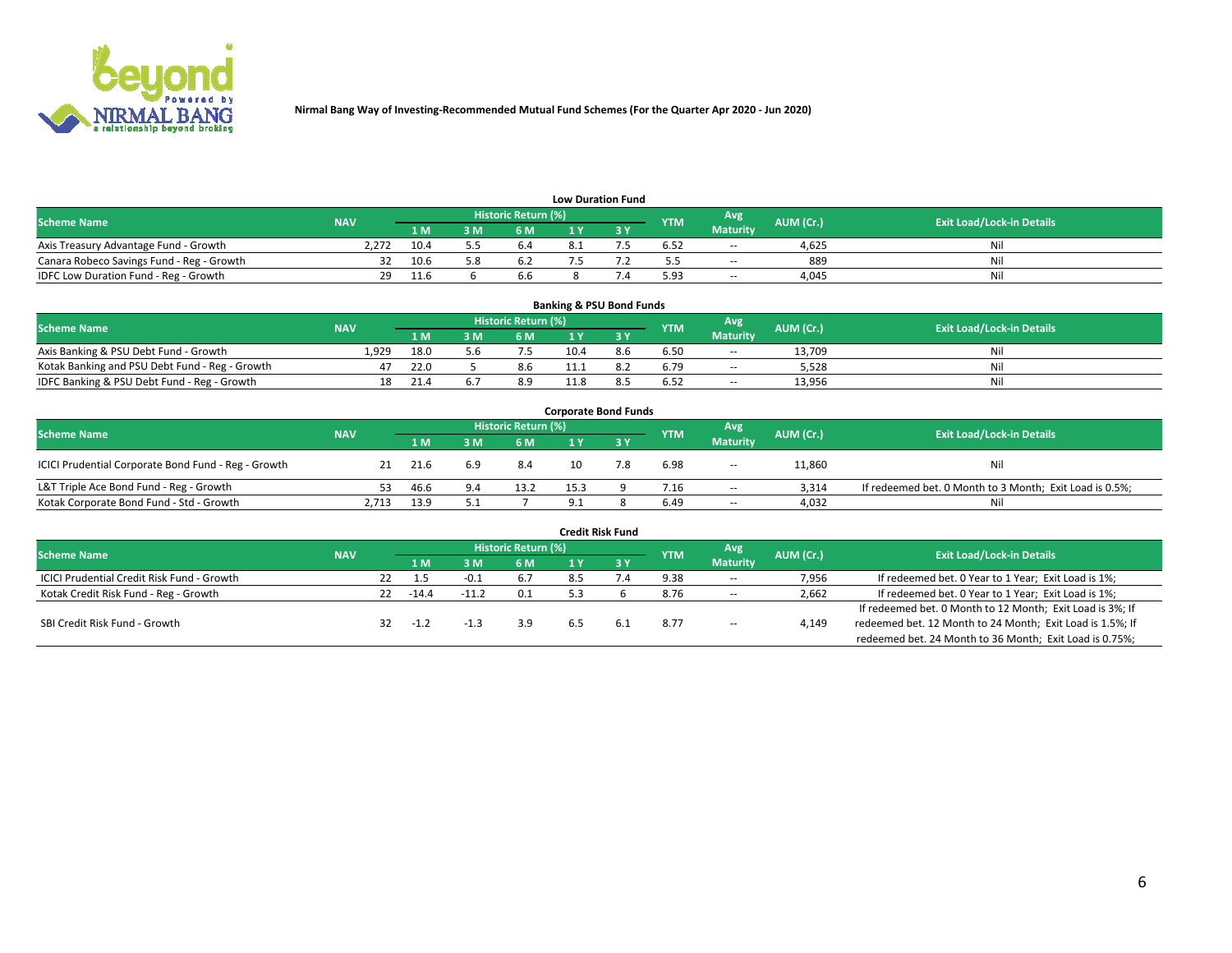

| <b>Low Duration Fund</b>                  |            |      |     |                     |  |  |            |                 |           |                                  |  |  |  |  |
|-------------------------------------------|------------|------|-----|---------------------|--|--|------------|-----------------|-----------|----------------------------------|--|--|--|--|
| <b>Scheme Name</b>                        | <b>NAV</b> |      |     | Historic Return (%) |  |  | <b>YTM</b> | Avg             | AUM (Cr.) | <b>Exit Load/Lock-in Details</b> |  |  |  |  |
|                                           |            | 1 M  | 3 M | 6 M                 |  |  |            | <b>Maturity</b> |           |                                  |  |  |  |  |
| Axis Treasury Advantage Fund - Growth     | 2.272      | 10.4 |     | 6.4                 |  |  | 6.52       | $\sim$          | 4.625     | Nil                              |  |  |  |  |
| Canara Robeco Savings Fund - Reg - Growth |            | 10.6 |     | 63                  |  |  | ,,         | $\sim$          | 889       | Nil                              |  |  |  |  |
| IDFC Low Duration Fund - Reg - Growth     | 29         | 11.6 |     | 6.6                 |  |  | 5.93       | $\sim$          | 4.045     | Nil                              |  |  |  |  |

| <b>Banking &amp; PSU Bond Funds</b>            |            |      |     |                            |      |     |            |                 |           |                                  |  |  |  |
|------------------------------------------------|------------|------|-----|----------------------------|------|-----|------------|-----------------|-----------|----------------------------------|--|--|--|
| <b>Scheme Name</b>                             | <b>NAV</b> |      |     | <b>Historic Return (%)</b> |      |     | <b>YTM</b> | Avg             | AUM (Cr.) | <b>Exit Load/Lock-in Details</b> |  |  |  |
|                                                |            | 1 M  | 3 M | 6 M                        |      |     |            | <b>Maturity</b> |           |                                  |  |  |  |
| Axis Banking & PSU Debt Fund - Growth          | 1.929      | 18.0 |     |                            |      | 8.6 | 6.50       | $\sim$          | 13.709    | Nil                              |  |  |  |
| Kotak Banking and PSU Debt Fund - Reg - Growth |            | 22.0 |     | 8.6                        |      |     | 6.79       | $\sim$          | 5,528     | Nil                              |  |  |  |
| IDFC Banking & PSU Debt Fund - Reg - Growth    | 18         | 21.4 |     | 8.9                        | 11.8 |     | 6.52       | $\sim$          | 13,956    | Nil                              |  |  |  |

| <b>Corporate Bond Funds</b>                         |            |      |     |                     |      |  |            |                          |           |                                                         |  |  |  |  |
|-----------------------------------------------------|------------|------|-----|---------------------|------|--|------------|--------------------------|-----------|---------------------------------------------------------|--|--|--|--|
| <b>Scheme Name</b>                                  | <b>NAV</b> |      |     | Historic Return (%) |      |  | <b>YTM</b> | Avg                      | AUM (Cr.) | <b>Exit Load/Lock-in Details</b>                        |  |  |  |  |
|                                                     |            | 1 M. | 8 M | 6 M                 |      |  |            | <b>Maturity</b>          |           |                                                         |  |  |  |  |
| ICICI Prudential Corporate Bond Fund - Reg - Growth |            | 21.6 | 6.9 | 8.4                 |      |  | 6.98       | $- -$                    | 11,860    | Nil                                                     |  |  |  |  |
| L&T Triple Ace Bond Fund - Reg - Growth             | 53.        | 46.6 | 9.4 | 13.2                | 15.3 |  | 7.16       | $\sim$                   | 3.314     | If redeemed bet. 0 Month to 3 Month; Exit Load is 0.5%; |  |  |  |  |
| Kotak Corporate Bond Fund - Std - Growth            | 2,713      | 13.9 |     |                     |      |  | 6.49       | $\overline{\phantom{a}}$ | 4,032     | Nil                                                     |  |  |  |  |

| <b>Credit Risk Fund</b>                    |            |    |         |         |                     |     |     |            |                 |           |                                                           |  |  |
|--------------------------------------------|------------|----|---------|---------|---------------------|-----|-----|------------|-----------------|-----------|-----------------------------------------------------------|--|--|
| <b>Scheme Name</b>                         | <b>NAV</b> |    |         |         | Historic Return (%) |     |     | <b>YTM</b> | Avg             | AUM (Cr.) | <b>Exit Load/Lock-in Details</b>                          |  |  |
|                                            |            |    |         | в м'    | 6 M                 |     | 3 Y |            | <b>Maturity</b> |           |                                                           |  |  |
| ICICI Prudential Credit Risk Fund - Growth |            | 22 |         |         | 6.7                 | 8.5 |     | 9.38       | $\sim$          | 7,956     | If redeemed bet. 0 Year to 1 Year; Exit Load is 1%;       |  |  |
| Kotak Credit Risk Fund - Reg - Growth      |            | 22 | $-14.4$ | $-11.2$ | 0.1                 |     |     | 8.76       | $\sim$          | 2,662     | If redeemed bet. 0 Year to 1 Year; Exit Load is 1%;       |  |  |
|                                            |            |    |         |         |                     |     |     |            |                 |           | If redeemed bet. 0 Month to 12 Month; Exit Load is 3%; If |  |  |
| SBI Credit Risk Fund - Growth              |            |    | $-1.4$  |         | 3.9                 | 6.5 | 6.1 | 8.77       | $\sim$          | 4,149     | redeemed bet. 12 Month to 24 Month; Exit Load is 1.5%; If |  |  |
|                                            |            |    |         |         |                     |     |     |            |                 |           | redeemed bet. 24 Month to 36 Month; Exit Load is 0.75%;   |  |  |